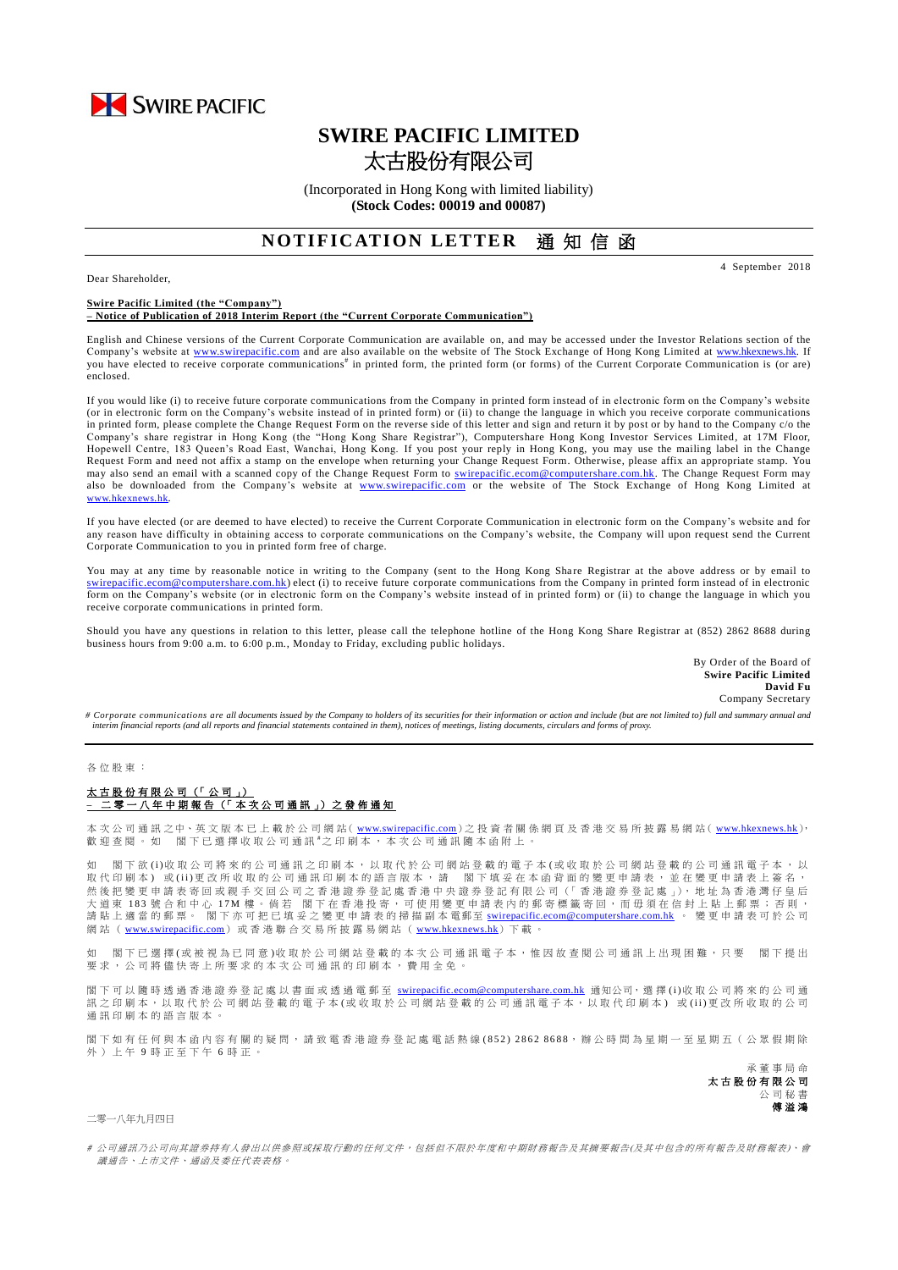

# **SWIRE PACIFIC LIMITED** 太古股份有限公司

(Incorporated in Hong Kong with limited liability) **(Stock Codes: 00019 and 00087)**

# **NOTIFICATION LETTER 通知信函**

Dear Shareholder,

4 September 2018

#### **Swire Pacific Limited (the "Company") – Notice of Publication of 2018 Interim Report (the "Current Corporate Communication")**

English and Chinese versions of the Current Corporate Communication are available on, and may be accessed under the Investor Relations section of the Company's website at [www.swirepacific.com](http://www.swirepacific.com/) and are also available on the website of The Stock Exchange of Hong Kong Limited at [www.hkexnews.hk.](http://www.hkexnews.hk/) If you have elected to receive corporate communications<sup>#</sup> in printed form, the printed form (or forms) of the Current Corporate Communication is (or are) enclosed.

If you would like (i) to receive future corporate communications from the Company in printed form instead of in electronic form on the Company's website (or in electronic form on the Company's website instead of in printed form) or (ii) to change the language in which you receive corporate communications in printed form, please complete the Change Request Form on the reverse side of this letter and sign and return it by post or by hand to the Company c/o the Company's share registrar in Hong Kong (the "Hong Kong Share Registrar"), Computershare Hong Kong Investor Services Limited, at 17M Floor, Hopewell Centre, 183 Queen's Road East, Wanchai, Hong Kong. If you post your reply in Hong Kong, you may use the mailing label in the Change Request Form and need not affix a stamp on the envelope when returning your Change Request Form. Otherwise, please affix an appropriate stamp. You may also send an email with a scanned copy of the Change Request Form to *swirepacific.ecom@computershare.com.hk*. The Change Request Form may also be downloaded from the Company's website at [www.swirepacific.com](http://www.swirepacific.com/) or the website of The Stock Exchange of Hong Kong Limited at [www.hkexnews.hk](http://www.hkexnews.hk/).

If you have elected (or are deemed to have elected) to receive the Current Corporate Communication in electronic form on the Company's website and for any reason have difficulty in obtaining access to corporate communications on the Company's website, the Company will upon request send the Current Corporate Communication to you in printed form free of charge.

You may at any time by reasonable notice in writing to the Company (sent to the Hong Kong Share Registrar at the above address or by email to [swirepacific.ecom@computershare.com.hk\)](mailto:swirepacific.ecom@computershare.com.hk) elect (i) to receive future corporate communications from the Company in printed form instead of in electronic form on the Company's website (or in electronic form on the Company's website instead of in printed form) or (ii) to change the language in which you receive corporate communications in printed form.

Should you have any questions in relation to this letter, please call the telephone hotline of the Hong Kong Share Registrar at (852) 2862 8688 during business hours from 9:00 a.m. to 6:00 p.m., Monday to Friday, excluding public holidays.

> By Order of the Board of **Swire Pacific Limited David Fu** Company Secretary

*# Corporate communications are all documents issued by the Company to holders of its securities for their information or action and include (but are not limited to) full and summary annual and interim financial reports (and all reports and financial statements contained in them), notices of meetings, listing documents, circulars and forms of proxy.*

### 各 位 股 東 :

# 太古股份有限公司 (「 公 司 」) **–** 二 零 一 八 年 中期報告 (「 本 次 公 司 通 訊 」) 之 發 佈 通 知

本 次 公 司 通 訊 之中、英 文 版 本 已 上 載 於 公 司 網 站( [www.swirepacific.com](http://www.swirepacific.com/)) 之 投 資 者 關 係 網 頁 及 香 港 交 易 所 披 露 易 網 站( [www.hkexnews.hk](http://www.hkexnews.hk/)), 歡 迎 查 閱 。 如 閣 下 已 選 擇 收 取 公 司 通 訊 <sup>#</sup>之 印 刷 本 , 本 次 公 司 通 訊 隨 本 函 附 上 。

如 閣下 欲 (i)收 取 公 司將 來 的 公 司 通 訊 之 印 刷 本 , 以 取 代 於 公 司 網 的 看 予 本 (或 收 取 於 公 司 網 站 登 載 的 公 司 通 訊 電 子 本 , 以 取代印刷本)或(ii)更改所收取的公司通訊印刷本的語言版本,請 閣下填妥在本函背面的變更申請表,並在變更申請表上簽名, 然後把變更申請表寄回或親手交回公司之香港證券登記處香港中央證券登記有限公司(「香港證券登記處」),地址為香港灣仔皇后 大 道 東 183 號 合 和 中 心 17M 樓 。 倘 若 閣 下 在 香 港 投 寄 , 可 使 用 變 更 申 請 表 內 的 郵 寄 標 籤 寄 回 , 而 毋 須 在 信 封 上 貼 上 郵 票 ; 否 則 , 請 貼 上 適 當 的 郵 票。 閣下亦可把已填妥之變更申請表 的掃描副本 電郵至 [swirepacific.ecom@computershare.com.hk](mailto:swirepacific.ecom@computershare.com.hk) 。 變 更 申請表可於 公 司 網 站 ( [www.swirepacific.com](http://www.swirepacific.com/)) 或香港 聯 合 交 易 所 披 露 易 網 站 ( [www.hkexnews.hk](http://www.hkexnews.hk/))下 載 。

如 閣下已 選擇(或被視為已同意)收取於公司網站登載的本次公司通訊電子本,惟因故查閱公司通訊上出現困難,只要 閣下提出 要求, 公司將儘快寄上所要求的本次公司通訊的印刷本, 費用全免。

閣下可以 隨時 透 過 香 港 證 券 登 記 處 以 書 面 或 透 過 電 郵 至 [swirepacific.ecom@computershare.com.hk](mailto:swirepacific.ecom@computershare.com.hk) 通知公司, 選 擇 (i)收 取 公 司 將 來 的 公 司 通 訊之 印 刷 本, 以 取 代 於 公 司 網 站 登 載 的 電 子 本 ( 或 收 取 於 公 司 網 站 登 載 的 公 司 通 訊 電 子 本, 以 取 代 印 刷 本) 或 (ii)更 改 所 收 取 的 公 司 通訊印刷本的語言版本。

閣下如有任何與本函內容有關的疑問,請致電香港證券登記處電話熱線(852) 2862 8688,辦公時間為星期一至星期五(公眾假期除 外 ) 上 午 9 時 正 至 下 午 6 時正。

> 承董事 局 命 太古股份有限公司 公 司 秘 書 傅溢鴻

## 二零一八年九月四日

# 公司通訊乃公司向其證券持有人發出以供參照或採取行動的任何文件,包括但不限於年度和中期財務報告及其摘要報告(及其中包含的所有報告及財務報表)、會 議通告、上市文件、通函及委任代表表格。